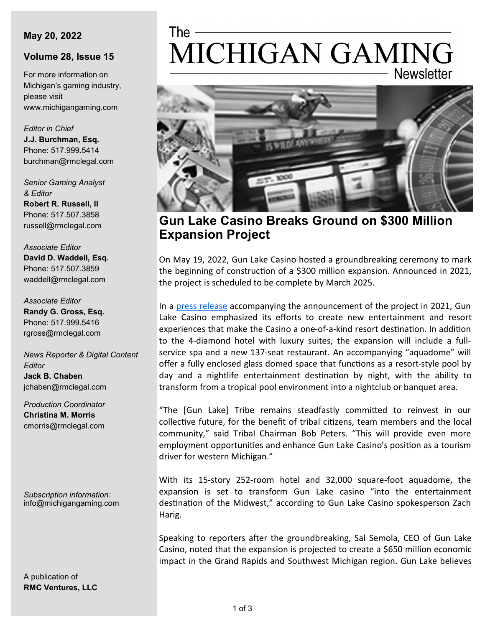#### **May 20, 2022**

#### **Volume 28, Issue 15**

For more information on Michigan's gaming industry, please visit www.michigangaming.com

*Editor in Chief* **J.J. Burchman, Esq.** Phone: 517.999.5414 burchman@rmclegal.com

*Senior Gaming Analyst & Editor* **Robert R. Russell, II** Phone: 517.507.3858 russell@rmclegal.com

*Associate Editor* **David D. Waddell, Esq.** Phone: 517.507.3859 waddell@rmclegal.com

*Associate Editor* **Randy G. Gross, Esq.** Phone: 517.999.5416 rgross@rmclegal.com

*News Reporter & Digital Content Editor* **Jack B. Chaben** jchaben@rmclegal.com

*Production Coordinator* **Christina M. Morris** cmorris@rmclegal.com

*Subscription information:* info@michigangaming.com

A publication of **RMC Ventures, LLC**

# The -MICHIGAN GAMING **Newsletter**



**Gun Lake Casino Breaks Ground on \$300 Million Expansion Project**

On May 19, 2022, Gun Lake Casino hosted a groundbreaking ceremony to mark the beginning of construction of a \$300 million expansion. Announced in 2021, the project is scheduled to be complete by March 2025.

In a [press release](https://gunlakecasino.com/files/4716/2101/7904/PR_GLC_Hotel_Resort_Expansion_4.19.21.pdf) accompanying the announcement of the project in 2021, Gun Lake Casino emphasized its efforts to create new entertainment and resort experiences that make the Casino a one-of-a-kind resort destination. In addition to the 4-diamond hotel with luxury suites, the expansion will include a fullservice spa and a new 137-seat restaurant. An accompanying "aquadome" will offer a fully enclosed glass domed space that functions as a resort-style pool by day and a nightlife entertainment destination by night, with the ability to transform from a tropical pool environment into a nightclub or banquet area.

"The [Gun Lake] Tribe remains steadfastly committed to reinvest in our collective future, for the benefit of tribal citizens, team members and the local community," said Tribal Chairman Bob Peters. "This will provide even more employment opportunities and enhance Gun Lake Casino's position as a tourism driver for western Michigan."

With its 15-story 252-room hotel and 32,000 square-foot aquadome, the expansion is set to transform Gun Lake casino "into the entertainment destination of the Midwest," according to Gun Lake Casino spokesperson Zach Harig.

Speaking to reporters after the groundbreaking, Sal Semola, CEO of Gun Lake Casino, noted that the expansion is projected to create a \$650 million economic impact in the Grand Rapids and Southwest Michigan region. Gun Lake believes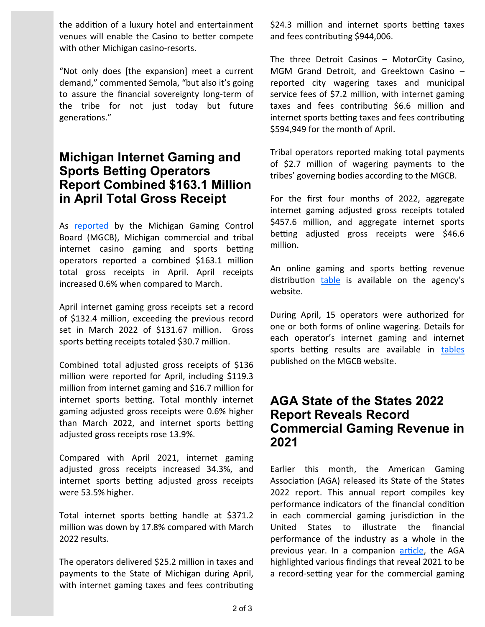the addition of a luxury hotel and entertainment venues will enable the Casino to better compete with other Michigan casino-resorts.

"Not only does [the expansion] meet a current demand," commented Semola, "but also it's going to assure the financial sovereignty long-term of the tribe for not just today but future generations."

### **Michigan Internet Gaming and Sports Betting Operators Report Combined \$163.1 Million in April Total Gross Receipt**

As [reported](https://content.govdelivery.com/accounts/MIGCB/bulletins/3181009) by the Michigan Gaming Control Board (MGCB), Michigan commercial and tribal internet casino gaming and sports betting operators reported a combined \$163.1 million total gross receipts in April. April receipts increased 0.6% when compared to March.

April internet gaming gross receipts set a record of \$132.4 million, exceeding the previous record set in March 2022 of \$131.67 million. Gross sports betting receipts totaled \$30.7 million.

Combined total adjusted gross receipts of \$136 million were reported for April, including \$119.3 million from internet gaming and \$16.7 million for internet sports betting. Total monthly internet gaming adjusted gross receipts were 0.6% higher than March 2022, and internet sports betting adjusted gross receipts rose 13.9%.

Compared with April 2021, internet gaming adjusted gross receipts increased 34.3%, and internet sports betting adjusted gross receipts were 53.5% higher.

Total internet sports betting handle at \$371.2 million was down by 17.8% compared with March 2022 results.

The operators delivered \$25.2 million in taxes and payments to the State of Michigan during April, with internet gaming taxes and fees contributing \$24.3 million and internet sports betting taxes and fees contributing \$944,006.

The three Detroit Casinos – MotorCity Casino, MGM Grand Detroit, and Greektown Casino – reported city wagering taxes and municipal service fees of \$7.2 million, with internet gaming taxes and fees contributing \$6.6 million and internet sports betting taxes and fees contributing \$594,949 for the month of April.

Tribal operators reported making total payments of \$2.7 million of wagering payments to the tribes' governing bodies according to the MGCB.

For the first four months of 2022, aggregate internet gaming adjusted gross receipts totaled \$457.6 million, and aggregate internet sports betting adjusted gross receipts were \$46.6 million.

An online gaming and sports betting revenue distribution [table](https://www.michigan.gov/-/media/Project/Websites/mgcb/Detroit-Casinos/Revenues/Distribution/iGaming_Sports_Betting_Fantasy_Sports_tax_revenue_distribution_chart.pdf?rev=acc52f447eb947a39b98f3f23f57d382) is available on the agency's website.

During April, 15 operators were authorized for one or both forms of online wagering. Details for each operator's internet gaming and internet sports betting results are available in [tables](https://www.michigan.gov/mgcb/Detroit-Casinos/resources/revenues-and-wagering-tax-information) published on the MGCB website.

# **AGA State of the States 2022 Report Reveals Record Commercial Gaming Revenue in 2021**

Earlier this month, the American Gaming Association (AGA) released its State of the States 2022 report. This annual report compiles key performance indicators of the financial condition in each commercial gaming jurisdiction in the United States to illustrate the financial performance of the industry as a whole in the previous year. In a companion [article,](https://www.americangaming.org/resources/state-of-the-states-2022/) the AGA highlighted various findings that reveal 2021 to be a record-setting year for the commercial gaming